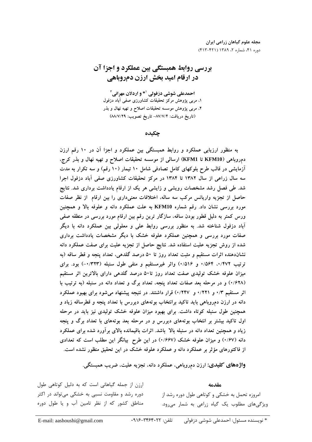## بررسی روابط همبستگی بین عملکرد و اجزا آن در ارقام امید بخش ارزن دمروباهی

احمدعلی شوشی دزفولی `\* و اردلان مهرانی` ۱، مربی پژوهش مرکز تحقیقات کشاورزی صفی آباد دزفول ۲، مربی پژوهش موسسه تحقیقات اصلاح و تهیه نهال و بذر (تاريخ دريافت: ٨٧/٧/۴– تاريخ تصويب: ٨٨/٧/٢٩)

چکىدە

به منظور ارزیابی عملکرد و روابط همبستگی بین عملکرد و اجزا آن در ۱۰ رقم ارزن دم,روباهی (KFM10 تا KFM1) ارسالی از موسسه تحقیقات اصلاح و تهیه نهال و بذر کرج، آزمایشی در قالب طرح بلوکهای کامل تصادفی شامل ۱۰ تیمار (۱۰ رقم) و سه تکرار به مدت سه سال زراعی از سال ۱۳۸۲ تا ۱۳۸۴ در مرکز تحقیقات کشاورزی صفی آباد دزفول اجرا شد. طی فصل رشد مشخصات رویشی و زایشی هر یک از ارقام یادداشت برداری شد. نتایج حاصل از تجزیه واریانس مرکب سه ساله، اختلافات معنیداری را بین ارقام از نظر صفات مورد بررسی نشان داد. رقم شماره KFM10 به علت عملکرد دانه و علوفه بالا و همچنین ورس کمتر به دلیل قطور بودن ساقه، سازگار ترین رقم بین ارقام مورد بررسی در منطقه صفی آباد دزفول شناخته شد. به منظور بررسی روابط علی و معلولی بین عملکرد دانه با دیگر صفات مورد بررسی و همچنین عملکرد علوفه خشک با دیگر مشخصات یادداشت برداری شده از روش تجزیه علیت استفاده شد. نتایج حاصل از تجزیه علیت برای صفت عملکرد دانه نشاندهنده اثرات مستقیم و مثبت تعداد روز تا ۵۰ درصد گلدهی، تعداد پنجه و قطر ساقه (به ترتیب ۰/۴۷۲ : ۰/۵۶۴ و ۰/۵۱۶) واثر غیرمستقیم و منفی طول سنبله (۰/۳۲۳) بود. برای میزان علوفه خشک تولیدی صفت تعداد روز تا۵۰ درصد گلدهی دارای بالاترین اثر مستقیم (۰/۶۲۸) و در مرحله بعد صفات تعداد پنجه، تعداد برگ و تعداد دانه در سنبله (به ترتیب با اثر مستقیم ۰/۳ و ۰/۲۲۱ و ۰/۲۴۷) قرار داشتند. در نتیجه پیشنهاد میشود برای بهبود عملکرد دانه در ارزن دمروباهی باید تاکید برانتخاب بوتههای دیررس با تعداد پنجه و قطرساقه زیاد و همچنین طول سنبله کوتاه داشت. برای بهبود میزان علوفه خشک تولیدی نیز باید در مرحله اول تاکید بیشتر بر انتخاب بوتههای دیررس و در مرحله بعد بوتههای با تعداد برگ و پنجه زیاد و همچنین تعداد دانه در سنبله بالا باشد. اثرات باقیمانده بالای برآورد شده برای عملکرد دانه (۰/۶۷) و میزان علوفه خشک (۰/۶۶۷) در این طرح بیانگر این مطلب است که تعدادی از فاکتورهای مؤثر بر عملکرد دانه و عملکرد علوفه خشک در این تحقیق منظور نشده است.

واژههای کلیدی: ارزن دمروباهی، عملکرد دانه، تجزیه علیت، ضریب همبستگی.

ارزن از جمله گیاهانی است که به دلیل کوتاهی طول مقدمه دوره رشد و مقاومت نسبی به خشکی میتواند در اکثر امروزه تحمل به خشکی و کوتاهی طول دوره رشد از مناطق کشور که از نظر تامین آب و یا طول دوره ویژگیهای مطلوب یک گیاه زراعی به شمار می ود.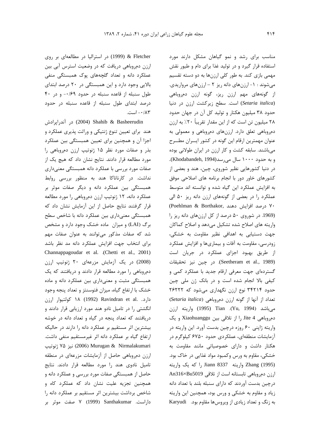& Fletcher (1999) در استرالیا در مطالعهای بر روی ارزن دمروباهی دریافت که در وضعیت استرس آبی بین عملکرد دانه و تعداد گلچههای یوک همبستگی منفی بالایی وجود دارد و این همبستگی در ۲۰ درصد ابتدای طول سنبله از قاعده سنبله در حدود ۰/۶۹- و در ۴۰ درصد ابتدای طول سنبله از قاعده سنبله در حدود ۰/۸۳ - است.

در آندراپرادش (2004) Shahib & Basheerudin هند برای تعیین تنوع ژنتیکی و وراثت پذیری عملکرد و اجزا آن و همچنین برای تعیین همبستگی بین عملکرد بذر و صفات مورد نظر ۱۵ ژنوتیپ ارزن دمروباهی را مورد مطالعه قرار دادند. نتایج نشان داد که هیچ یک از صفات مورد بررسي با عملكرد دانه همبستگي معنىدارى نداشت. در کارناتاکا هند به منظور بررسی روابط همبستگی بین عملکرد دانه و دیگر صفات موثر بر عملکرد دانه، ۱۲ ژنوتیپ ارزن دمروباهی را مورد مطالعه قرار گرفتند نتایج حاصل از این آزمایش نشان داد که همبستگی معنیداری بین عملکرد دانه با شاخص سطح برگ (LAI) و میزان ماده خشک وجود دارد و مشخص شد که صفات مذکور می توانند به عنوان صفات مهم برای انتخاب جهت افزایش عملکرد دانه مد نظر باشد Channappagoudar et al. .(Chetti et al., 2001) (2008) در یک آزمایش مزرعهای ٢٠ ژنوتيپ ارزن دمروباهی را مورد مطالعه قرار دادند و دریافتند که یک همبستگی مثبت و معنیداری بین عملکرد دانه و ماده خشک با ارتفاع گیاه، میزان فتوسنتز و تعداد پنجه وجود دارد. .Ravindran et al (1992) 1۸ کولتیوار ارزن انگشتی را در تامیل نادو هند مورد ارزیابی قرار دادند و دریافتند که تعداد پنجه در گیاه و تعداد دانه در خوشه بیشترین اثر مستقیم بر عملکرد دانه را دارند در حالیکه ارتفاع گیاه بر عملکرد دانه اثر غیرمستقیم منفی داشت. نيز ۷۵ ژنوتيپ (2006) Murugan & Nirmalakumari ارزن دمروباهی حاصل از آزمایشات مزرعهای در منطقه تاميل نادوى هند را مورد مطالعه قرار دادند. نتايج حاصل از همبستگی صفات مورد بررسی و عملکرد دانه و همچنین تجزیه علیت نشان داد که عملکرد کاه و شاخص برداشت بیشترین اثر مستقیم بر عملکرد دانه را داراست. Santhakumar (1999) 7 صفت موثر بر

مناسب برای رشد و نمو گیاهان مشکل دارند مورد استفاده قرار گیرد و در تولید غذا برای دام و طیور نقش مهمی بازی کند. به طور کلی ارزنها به دو دسته تقسیم می شوند : ١- ارزنهای دانه ریز ٢ - ارزنهای مرواریدی. از گونههای مهم ارزن ریز، گونه ارزن دمروباهی (Setaria italica) است. سطح زیرکشت ارزن در دنیا حدود ٣٨ ميليون هكتار و توليد كل آن در جهان حدود ۲۸ میلیون تن است که از این مقدار تقریباً ۲۰٪ به ارزن دمروباهی تعلق دارد. ارزنهای دمروباهی و معمولی به عنوان مهمترین ارقام این گونه در کشور ایسران مطسرح میباشند. سابقه کشت و کار ارزن در ایران طولانی بوده e به حدود ۱۰۰۰ سال می رسد(Khodabandeh, 1994). در دنیا کشورهایی نظیر شوروی، چین، هند و بعضی از کشورهای خاور دور با انجام برنامه های اصلاحی موفق به افزایش عملکرد این گیاه شده و توانسته اند متوسط عملكرد را در بعضى از گونههاى ارزن دانه ريز ۵۰ الى ۷۰ درصد افزایش دهند ,Poehlman & Borthakor (1969. در شوروی ۵۰ درصد از کل ارزنهای دانه ریز را واریته های اصلاح شده تشکیل میدهد و اصلاح کماکان جهت دستیابی به اهدافی نظیر مقاومت به خشکی، زودرسی، مقاومت به آفات و بیماریها و افزایش عملکرد از طریق بهبود اجزای عملکرد در جریان است (Seetheram et al., 1989). در چين نيز تحقيقات گستردهای جهت معرفی ارقام جدید با عملکرد کمی و کیفی بالا انجام شده است و در بانک ژن ملی چین حدود ۳۴۲۱۴ نوع ارزن نگهداری میشود که ۲۶۲۲۲ تعداد از آنها از گونه ارزن دمروباهی (Setaria italica) مي باشد (Yu, 1994). Tian (1995) واريته ارزن دمروباهي Jite 4 را از تلاقي بين Xiaohuanggu و يک واریته ژاپنی ۶۰ روزه درچین بدست آورد. این واریته در آزمایشات منطقهای، عملکردی حدود ۶۷۵۰ کیلوگرم در هکتار داشت و دارای خصوصیاتی مانند مقاومت به خشکی، مقاوم به ورس وکمبود مواد غذایی در خاک بود. Zhang (1995) واريته Jiann 8337 را كه يك واريته ارزن دمروباهی تابستانه است از تلاقی An316×Bu5019 درچین بدست آوردند که دارای سنبله بلند با تعداد دانه زیاد و مقاوم به خشکی و ورس بود، همچنین این واریته به زنگ و تعداد زیادی از ویروس ها مقاوم بود. Karyudi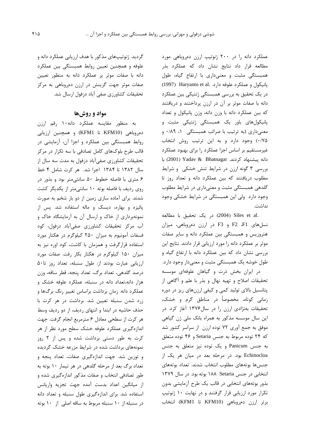عملکرد دانه را در ۲۰۰ ژنوتیپ ارزن دمروباهی مورد مطالعه قرار داد نتایج نشان داد که عملکرد بذر همبستگی مثبت و معنیداری با ارتفاع گیاه، طول پانیکول و عملکرد علوفه دارد. Haryanto et al. (1997) در یک تحقیق به بررسی همبستگی ژنتیکی بین عملکرد دانه با صفات موثر بر آن در ارزن پرداختند و دریافتند که بین عملکرد دانه با وزن دانه، وزن پانیکول و تعداد پانیکولهای باور یک همبستگی ژنتیکی مثبت و معنیداری (به ترتیب با ضرائب همبستگی ۱، ۰/۸۹ و ٠/٧۵) وجود دارد و به اين ترتيب روش انتخاب غیرمستقیم بر اساس اجزا عملکرد را برای بهبود عملکرد دانه پیشنهاد کردند. Yadav & Bhatnagar (2001) با بررسی ۳ گونه ارزن در شرایط تنش خشکی و شرایط مطلوب دریافتند که بین عملکرد دانه و تعداد روز تا گلدهی همبستگی مثبت و معنیداری در شرایط مطلوب وجود دارد ولی این همبستگی در شرایط خشکی وجود نداشت.

.2004) Siles et al (2004) در یک تحقیق با مطالعه نسلهای F2 F2 و F3 در ارزن دمروباهی، میزان هتروزیس و همبستگی بین عملکرد دانه و سایر صفات موثر بر عملكرد دانه را مورد ارزيابي قرار دادند. نتايج اين بررسی نشان داد که بین عملکرد دانه با ارتفاع گیاه و طول خوشه یک همبستگی مثبت و معنیدار وجود دارد. در ایران بخش ذرت و گیاهان علوفهای موسسه تحقیقات اصلاح و تهیه نهال و بذر با علم و أگاهی از پتانسیل بالای تولید کمی و کیفی ارزنهای ریز در دوره زمانی کوتاه، مخصوصاً در مناطق گرم و خشک، تحقیقات بهنژادی ارزن را در سال۱۳۷۶ آغاز کرد. در این سال موسسه مذکور به همراه بانک ملی ژن گیاهی موفق به جمع آوری ۷۲ توده ارزن از سراسر کشور شد که ۲۴ توده مربوط به جنس Setaria و ۴۶ توده متعلق به جنس Panicum و یک توده نیز متعلق به جنس Echinocloa بود. در مرحله بعد در میان هر یک از جنسها بوتههاى مطلوب انتخاب شدند. تعداد بوتههاى انتخابی در جنس ۱۸۸ Setaria بوته بود. در سال ۱۳۷۹ بذور بوتههای انتخابی در قالب یک طرح آزمایشی بدون تکرار مورد ارزیابی قرار گرفتند و در نهایت ١٠ ژنوتیپ برتر ارزن دم روباهي (KFM10 تا KFM1) انتخاب

گردید. ژنوتیپهای مذکور با هدف ارزیابی عملکرد دانه و علوفه و همچنین تعیین روابط همبستگی بین عملکرد دانه با صفات موثر بر عملکرد دانه به منظور تعیین صفات موثر جهت گزینش در ارزن دمروباهی به مرکز تحقیقات کشاورزی صفی آباد دزفول ارسال شد.

## مواد و روشها

به منظور مقايسه عملكرد دانه ۱۰ رقم ارزن دمروباهی (KFM10 تا KFM1) و همچنین ارزیابی روابط همبستگی بین عملکرد و اجزا آن، آزمایشی در قالب طرح بلوکهای کامل تصادفی با سه تکرار در مرکز تحقیقات کشاورزی صفیآباد دزفول به مدت سه سال از سال ۱۳۸۲ تا ۱۳۸۴ اجرا شد. هر کرت شامل ۴ خط ۶ متری با فاصله خطوط ۵۰ سانتی متر بود و بذور در روی ردیف با فاصله بوته ١٠ سانتی متر از یکدیگر کشت شدند. برای آماده سازی زمین از دو بار شخم به صورت پائیزه و بهاره، دیسک و ماله استفاده شد. پس از نمونهبرداری از خاک و ارسال آن به آزمایشگاه خاک و آب مرکز تحقیقات کشاورزی صفیآباد دزفول، کود فسفات آمونیوم به میزان ۲۵۰ کیلوگرم در هکتار مورد استفاده قرارگرفت و همزمان با کاشت، کود اوره نیز به میزان ۱۵۰ کیلوگرم در هکتار بکار رفت. صفات مورد ارزیابی عبارت بودند از: طول سنبله، تعداد روز تا۵۰ درصد گلدهی، تعداد برگ، تعداد پنجه، قطر ساقه، وزن هزار دانه،تعداد دانه در سنبله، عملکرد علوفه خشک و عملکرد دانه. زمان برداشت براساس تغییر رنگ برگها و زرد شدن سنبله تعیین شد. برداشت در هر کرت با حذف حاشیه در ابتدا و انتهای ردیف، از دو ردیف وسط هر كرت از سطحى معادل ۶ مترمربع انجام گرفت. جهت اندازهگیری عملکرد علوفه خشک سطح مورد نظر از هر کرت به طور دستی برداشت شده و پس از ۲ روز نمونههای برداشت شده در شرایط مزرعه خشک گردیده و توزین شد. جهت اندازهگیری صفات، تعداد پنجه و تعداد برگ بعد از مرحله گلدهی در هر تیمار ۱۰ بوته به طور تصادفی انتخاب و صفات مذکور اندازهگیری شده و از میانگین اعداد بدست آمده جهت تجزیه واریانس استفاده شد. برای اندازهگیری طول سنبله و تعداد دانه در سنبله از ۱۰ سنبله مربوط به ساقه اصلی از ۱۰ بوته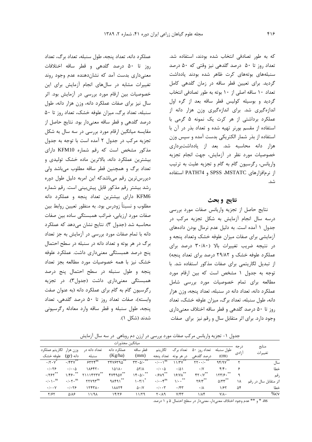که به طور تصادفی انتخاب شده بودند، استفاده شد. تعداد روز تا ۵۰ درصد گلدهی نیز وقتی که ۵۰ درصد سنبلههای بوتههای کرت ظاهر شده بودند یادداشت گردید. برای تعیین قطر ساقه در زمان گلدهی کامل تعداد ١٠ ساقه اصلى از ١٠ بوته به طور تصادفى انتخاب گردید و بوسیله کولیس قطر ساقه بعد از گره اول اندازهگیری شد. برای اندازهگیری وزن هزار دانه از عملکرد برداشتی از هر کرت یک نمونه ۵ گرمی با استفاده از مقسم بورنر تهیه شده و تعداد بذر در آن با استفاده از بذر شمار الكتريكي بدست آمده و سپس وزن هزار دانه محاسبه شد. بعد از یادداشتبرداری خصوصیات مورد نظر در آزمایش، جهت انجام تجزیه واریانس، رگرسیون گام به گام و تجزیه علیت به ترتیب از نرمافزارهای SPSS ،MSTATC و PATH74 استفاده شد.

## نتايج وبحث

نتايج حاصل از تجزيه واريانس صفات مورد بررسى درسه سال انجام آزمایش به شکل تجزیه مرکب در جدول ١ آمده است. به دليل عدم نرمال بودن دادههاي آزمایشی برای صفات میزان علوفه خشک وتعداد پنجه و در نتیجه ضریب تغییرات بالا (۳۰/۸۰ درصد برای عملکرد علوفه خشک و ۲۹/۸۲ درصد برای تعداد پنجه) از تبدیل لگاریتمی برای صفات مذکور استفاده شد. با توجه به جدول ١ مشخص است كه بين ارقام مورد مطالعه برای تمام خصوصیات مورد بررسی شامل عملكرد دانه، تعداد دانه در سنبله، تعداد پنجه، وزن هزار دانه، طول سنبله، تعداد برگ، میزان علوفه خشک، تعداد روز تا ۵۰ درصد گلدهی و قطر ساقه اختلاف معنیداری وجود دارد. برای اثر متقابل سال و رقم نیز برای صفات

عملکرد دانه، تعداد پنجه، طول سنبله، تعداد برگ، تعداد روز تا ۵۰ درصد گلدهی و قطر ساقه اختلافات معنیداری بدست آمد که نشاندهنده عدم وجود روند تغییرات مشابه در سالهای انجام آزمایش برای این خصوصیات بین ارقام مورد بررسی در آزمایش بود. اثر سال نیز برای صفات عملکرد دانه، وزن هزار دانه، طول سنبله، تعداد برگ، میزان علوفه خشک، تعداد روز تا ۵۰ درصد گلدهی و قطر ساقه معنیدار بود. نتایج حاصل از مقایسه میانگین ارقام مورد بررسی در سه سال به شکل تجزیه مرکب در جدول ۲ آمده است با توجه به جدول مذکور مشخص است که رقم شماره KFM10 دارای بیشترین عملکرد دانه، بالاترین ماده خشک تولیدی و تعداد برگ و همچنین قطر ساقه مطلوب میباشد ولی دیررسترین رقم میباشدکه این امربه دلیل طول دوره رشد بیشتر رقم مذکور قابل پیشبینی است. رقم شماره KFM6 دارای بیشترین تعداد پنجه و عملکرد دانه مطلوب و نسبتاً زودرس بود. به منظور تعیین روابط بین صفات مورد ارزیابی، ضرائب همبستگی ساده بین صفات محاسبه شد (جدول ٣). نتايج نشان مي دهد كه عملكرد دانه با تمام صفات مورد بررسی در آزمایش به جز تعداد برگ در هر بوته و تعداد دانه در سنبله در سطح احتمال پنج درصد همبستگی معنیداری داشت. عملکرد علوفه خشک نیز با همه خصوصیات مورد مطالعه بجز تعداد پنجه وطول سنبله در سطح احتمال پنج درصد همبستگی معنیداری داشت (جدول۳). در تجزیه رگرسیون گام به گام برای عملکرد دانه (به عنوان صفت وابسته)، صفات تعداد روز تا ۵۰ درصد گلدهی، تعداد ينجه، طول سنبله و قطر ساقه وارد معادله رگرسيوني شدند (شکل ۱).

جدول ۱- تجزیه واریانس مرکب صفات مورد بررسی در ارزن دم روباهی در سه سال آزمایش

|                                          |                                          |                 | ميانگين مجذورات |                                                      |                                            |                              |                                             |                                |       |                       |
|------------------------------------------|------------------------------------------|-----------------|-----------------|------------------------------------------------------|--------------------------------------------|------------------------------|---------------------------------------------|--------------------------------|-------|-----------------------|
| لگاريتم عملكرد                           | وزن هزار                                 | تعداد دانه د,   | عملکړ د دانه    | قط ساقه                                              | لگاريتم                                    | تعداد برگ                    | تعداد روز<br>$\Delta$ .                     | طول سنبله                      | در جه | منابع                 |
| علوفه خشک                                | دانه (gr)                                | سنبله           | (Kg/ha)         | (mm)                                                 | در هر بوته - تعداد پنجه                    |                              | درصد گلدهی                                  | (cm)                           | ازادى | تغييرات               |
| .17.1                                    | .757V                                    | $555^{\circ}$   | 7478794         | $\mathbf{r}\mathbf{r}\cdot\mathbf{r}\cdot\mathbf{r}$ | $\cdot/\cdot\cdot\setminus^{\text{ns}}$    | 11/7V                        | $\mathbf{Y} \mathbf{Y} \cdot \cdot / \cdot$ | 95/9V                          | ۲     | سال                   |
| .1.79                                    | $\cdot$ / $\cdot$ $\Delta$               | 11847.          | ۱۵۱۸۰           | $\Delta Y/\Lambda$                                   | $\cdot$ / $\cdot$ $\Delta$                 | $\cdot$ /5)                  | $\cdot$ /Y                                  | $f/f$ .                        | ۶     | خطا                   |
| $\cdot$ /۲۶۲ $^{\ast\ast}$               | $1/F9.$ **                               | $Y111$ $YYY^*$  | FVF94V **       | 15.01                                                | $\cdot$ /۶۸۹ $^{**}$                       | ۱۶/۷۸ <sup>**</sup>          | YY.1Y                                       | 155.                           | ٩     | رقم                   |
| $\cdot/\cdot\setminus \cdot^{\text{ns}}$ | $\cdot/\cdot \gamma \cdot$ <sup>ns</sup> | <b>TYY97</b> ms | **<br>90591     | $\left \cdot\right $ $\left \right $                 | $\cdot/\cdot\cdot\mathfrak{f}^{\text{ns}}$ | $\mathcal{N}$                | $Y \mathcal{F}/Y$ **                        | $\Delta/\Upsilon\Upsilon^{**}$ | ۱۸    | اثر متقابل سال در رقم |
| $\cdot$ / $\cdot$ $\cdot$ $\vee$         | .1.79                                    | 17471.          | ۱۸۸۲۴           | $\Delta \cdot / V$                                   | $\cdot$ / $\cdot$ $\uparrow$               | .75                          | $\cdot/\lambda$                             | 1/۶۲                           | ۵۴    | خطا                   |
| Y/5Y                                     | $\Delta/\lambda$ ۶                       | 11/91           | 14/28           | ۱۱/۲۹                                                | $Y \cdot / \Lambda$ 9                      | $Y/\mathfrak{F}\mathfrak{r}$ | $1/\lambda f$                               | $Y/\Lambda$ .                  |       | $%$ cv                |

ns. \* و \*\* عدم وجود اختلاف معنىدار، معنىدار در سطح احتمال ۵ و ۱ درصد.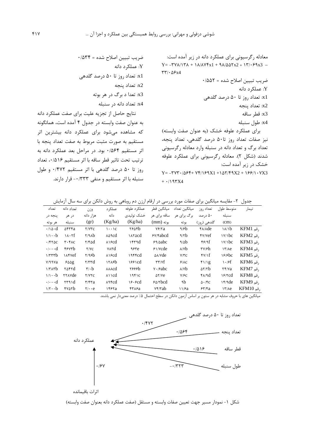x3: قطر ساقه

x4: طول سنبله

برای عملکرد علوفه خشک (به عنوان صفت وابسته) نیز صفات تعداد روز تا۵۰ درصد گلدهی، تعداد پنجه، تعداد برگ و تعداد دانه در سنبله وارد معادله رگرسیونی شدند (شکل ۲). معادله رگرسیونی برای عملکرد علوفه خشک د, ; بر آمده است:  $Y = -YVY + (\Delta \mathcal{F}Y + VY)/\mathcal{F}YX1 + (\Delta Y)/\mathcal{F}YX2 + \gamma \mathcal{F}Y) \cdot YX3$  $+ \cdot 197X4$ 

ضريب تبيين اصلاح شده = ٠/۵۳۴ Y: عملكرد دانه x1: تعداد روز تا ۵۰ درصد گلدهی x2: تعداد پنجه x3: تعدا د برگ د<sub>ر</sub> هر بوته

x4: تعداد دانه د<sub>ر</sub> سنبله

نتايج حاصل از تجزيه عليت براى صفت عملكرد دانه به عنوان صفت وابسته در جدول ۴ آمده است، همانگونه که مشاهده میشود برای عملکرد دانه بیشترین اثر مستقيم به صورت مثبت مربوط به صفت تعداد پنجه با اثر مستقيم ٠/٥۶۴ بود. در مراحل بعد عملكرد دانه به ترتيب تحت تاثير قطر ساقه با اثر مستقيم ١٤/٥١٤، تعداد روز تا ۵۰ درصد گلدهی با اثر مستقیم ۰/۴۷۲ و طول سنبله با اثر مستقيم و منفى ٠/٣٣٣- قرار دارند.

جدول ۲- مقایسه میانگین برای صفات مورد بررسی در ارقام ارزن دم روباهی به روش دانکن برای سه سال آزمایش

| تعداد                         | تعداد دانه                       | وزن                           | عملک د                       | عملکړ د علوفه | ميانگين قطر               | ميانگين تعداد           | تعداد روز              | متوسط طول            | تيمار                     |
|-------------------------------|----------------------------------|-------------------------------|------------------------------|---------------|---------------------------|-------------------------|------------------------|----------------------|---------------------------|
| ينجه در                       | در هر                            | هزار دانه                     | دانه                         | خشک تولیدی    | ساقه برای هر              | برگ برای هر             | ۵۰ درصد                | سنبله                |                           |
| هر بوته                       | سنبله                            | (gr)                          | (Kg/ha)                      | (Kg/ha)       | بوته (mm)                 | بو ته                   | گلدهی (روز)            | (cm)                 |                           |
| $\cdot$ / \ $\circ$ $\cdot$ d | $\Delta$ ۴۳۴a                    | $Y/Y$ ۳ $C$                   | $\cdots$ $\circ$             | ۲۶۵۴b         | $Y$ ۶/۲a                  | $\frac{9}{6}$           | $\frac{\rho}{\lambda}$ | $\lambda/\delta$     | $KFM1$ , قم               |
| $1/1 \cdot b$                 | $\lambda \cdot \lambda f$        | Y/9Ab                         | $\lambda \Delta \text{2cd}$  | <b>IAYACC</b> | $Y$ $\beta$               | 4/7b                    | Y/Vef                  | $\frac{1}{\sqrt{2}}$ | $KFM2$ , قم               |
| $.$ /۴۲۵ $c$                  | $\mathbf{r} \cdot \mathbf{r}$ AC | $Y/F\Delta d$                 | $\lambda$ > $\epsilon$ od    | 154d          | 59/0abc                   | 9/0b                    | $f$ ۶/۹ $f$            | $\frac{1}{\sqrt{2}}$ | $KFM3$ , قم               |
| $\cdots$ d                    | ۴۶۷۳b                            | Y/VC                          | <b>YATd</b>                  | ٩۶۳e          | $51$ /Ycde                | $\lambda$ / $\lambda$ b | ۳۷۱۶h                  | 17/Ae                | $KFM4$ , قم               |
| 1/777b                        | <b>IAFVef</b>                    | Y/95b                         | $\lambda$ > $\epsilon$ od    |               | $\Delta\lambda/\gamma$ de | $V/\nabla C$            | fV/f                   | 18/6c                | $KFM5$ , قم               |
| V/99Va                        | ۶۵۵g                             | $\tau/\tau\tau d$             | 1505                         | 1881cd        | $\tau\tau/\nu f$          | 9/AC                    | f1/1g                  | $\cdot$ /۶f          | $KFM6$ , قم               |
| $1/\tau \Lambda \tau b$       | <b>r</b> arrd                    | $\mathbf{r} \cdot \mathbf{b}$ | $\lambda \lambda \lambda$ cd | ۲۶۶۶b         | $V \cdot$ / $abc$         | $\lambda$ / $\lambda$ b | $\Delta Y/Yb$          | Yf/Ya                | $KFM7$ , قم               |
| $1/1 \cdot b$                 | <b>TYAYde</b>                    | <b>Y/YYC</b>                  |                              | 1951C         | $\Delta Y/Ve$             | V/FC                    | $f\lambda/d$           | 18/2                 | $KFM8$ , قم               |
| $\cdots$                      | $\mathsf{rrad}$                  | $\mathbf{r}/\mathbf{r}$ ra    | $\lambda$ ۹۴cd               | 18.8cd        | 80/3                      | ٩b                      | $\Delta \cdot$ /۴c     | 15/9                 | $KFM9$ , قم               |
| $1/\tau \cdot b$              | <b>TYATD</b>                     | $\mathbf{Y}/\cdot \mathbf{e}$ | ۱۴۶۲a                        | ۴۳۸۶a         | Yf/Tab                    | 11/8a                   | 55/8a                  | 17/Me                | $KFM10, \tilde{\mu}$ , قم |

میانگین های با حروف مشابه در هر ستون بر اساس آزمون دانکن در سطح احتمال ۵٪ درصد معنیدار نمی باشند.



شکل ١- نمودار مسير جهت تعيين صفات وابسته و مستقل (صفت عملكرد دانه بعنوان صفت وابسته)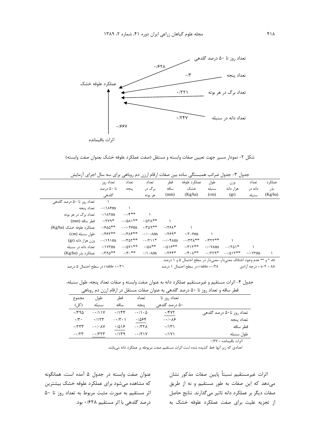

شكل ٢- نمودار مسير جهت تعيين صفات وابسته و مستقل (صفت عملكرد علوفه خشك بعنوان صفت وابسته)

|  |  |  | جدول ۳- جدول ضرائب همبستگی ساده بین صفات ارقام ارزن دم روباهی برای سه سال اجرای ازمایش |  |  |  |
|--|--|--|----------------------------------------------------------------------------------------|--|--|--|
|--|--|--|----------------------------------------------------------------------------------------|--|--|--|

| ں . ر _ _ _ _              |                        | ی .ر ب<br>.                | ر ررن                                                | پ                   | ت                                      | $\overline{ }$<br>- 200               | . ر ب     | ۰ تر ب                 |         |
|----------------------------|------------------------|----------------------------|------------------------------------------------------|---------------------|----------------------------------------|---------------------------------------|-----------|------------------------|---------|
|                            | تعداد روز              | تعداد                      | تعداد                                                | قطر                 | عملكرد علوفه                           | طول                                   | وزن       | تعداد                  | عملکر د |
|                            | تا ۵۰ درصد             | ينجه                       | بر گ در                                              | ساقه                | خشک                                    | سنبله                                 | هزار دانه | دانه د,                | بذر     |
|                            | گلدھی                  |                            | هر بوته                                              | (mm)                | (Kg/ha)                                | (cm)                                  | (gr)      | سنىلە                  | (Kg/ha) |
| تعداد روز تا ۵۰ درصد گلدهی |                        |                            |                                                      |                     |                                        |                                       |           |                        |         |
| تعداد ينجه                 | $-\cdot/\lambda$ ۶ns   |                            |                                                      |                     |                                        |                                       |           |                        |         |
| تعداد برگ در هر بوته       | $\cdot$ /\ $\land$ rns | $-15$                      |                                                      |                     |                                        |                                       |           |                        |         |
| قطر ساقه (mm)              | $\cdot$ /۲۷۹*          | $-\cdot/\Delta\Lambda$ \** | $\cdot$ / $\Delta$ $\uparrow$ $\wedge$ $\ast$ $\ast$ |                     |                                        |                                       |           |                        |         |
| عملک د علوفه خشک (Kg/ha)   | $\cdot$ / $500**$      | $-\cdot/\cdot$ ens         | $\cdot$ /٣ $09**$                                    | $.179$ $A*$         |                                        |                                       |           |                        |         |
| طول سنبله (cm)             | $\cdot$ /۳۶۲**         | $-17\lambda$ ۴**           | $-\cdot/\cdot \cdot \text{Ans}$                      | $.1759*$            | $\cdot$ /۲ $\cdot$ ۶ns                 |                                       |           |                        |         |
| وزن هزار دانه (gr)         | $-\cdot/9$ \ns         | $-1701**$                  | $-1711*$                                             | $-\cdot/\cdot$ FAns | $-177\lambda**$                        | $\cdot$ /۳۲۲**                        |           |                        |         |
| تعداد دانه در سنبله        | $\cdot$ / $\gamma$ rns | $-10Y1**$                  | $\cdot$ /01**                                        | $.1018**$           | $\cdot$ /۳۱۲**                         | $\cdot$ / $\cdot$ $\sqrt{\lambda}$ ns | $-1701*$  |                        |         |
| عملكرد بذر (Kg/ha)         | $\cdot$ /٣٩۵**         | $\cdot$ /۳ $\cdot$ **      | $\cdot/\right)$ $\cdot$ Ans                          | $.7777*$            | $\cdot$ /۴ $\cdot$ $\wedge^{\ast\ast}$ | $-1779*$                              | $-1015**$ | $\cdot$ / $\cdot$ YYns |         |
|                            |                        |                            |                                                      |                     |                                        |                                       |           |                        |         |

r table = • /٢١ در سطح احتمال ۵ درصد

ns \* و \*\* عدم وجود اختلاف معنىدار، معنىدار در سطح احتمال ۵ و ۱ درصد. r table =• /۲۸ در سطح احتمال ۱ درصد ۸۸ = ۲-n = درجه آزادی

جدول ۴- اثرات مستقيم و غيرمستقيم عملكرد دانه به عنوان صفت وابسته و صفات تعداد پنجه، طول سنبله،

| $1 - 1$                   |                                                                                   |                        |                                              | $\cdots$                  |                |
|---------------------------|-----------------------------------------------------------------------------------|------------------------|----------------------------------------------|---------------------------|----------------|
|                           | قطر ساقه و تعداد روز تا ۵۰ درصد گلدهی به عنوان صفات مستقل در ارقام ارزن دم روباهی |                        |                                              |                           |                |
|                           | تعداد روز تا                                                                      | تعداد                  | قطر                                          | طول                       | مجموع          |
|                           | ۵۰ درصد گلدهی                                                                     | ينجه                   | ساقه                                         | سنىلە                     | (کا )          |
| تعداد روز تا۵۰ درصد گلدهی | $\cdot$ /۴۷۲                                                                      | $-\cdot/1\cdot \Delta$ | .798                                         | $-111Y$                   | $\cdot$ /٣٩۵   |
| تعداد ينجه                | $-\cdot/\cdot$ $\wedge$ ۶                                                         | .7888                  | $-\cdot/ \tilde{\mathbf{v}}\cdot \mathbf{1}$ | ۰/۱۲۳                     | $\cdot/\tau$ . |
| قطر ساقه                  | $\cdot$ /۱۳۱                                                                      | $- \cdot 77\lambda$    | $\cdot$ /5) ج                                | $-\cdot/\cdot$ $\wedge$ Y | $\cdot$ /۲۳۳   |
| طول سنبله                 | ۰/۱۷۱                                                                             | $-171Y$                | ۰/۱۳۹                                        | $- \cdot 777$             | $- \cdot 77$   |
|                           |                                                                                   |                        |                                              |                           |                |

اثرات باقیمانده = ۰/۶۷

اعدادی که زیر آنها خط کشیده شده است اثرات مستقیم صفت مربوطه بر عملکرد دانه می باشد.

عنوان صفت وابسته در جدول ۵ آمده است، همانگونه که مشاهده می شود برای عملکرد علوفه خشک بیشترین اثر مستقيم به صورت مثبت مربوط به تعداد روز تا ۵۰ درصد گلدهی با اثر مستقیم ۰/۶۲۸ بود.

اثرات غيرمستقيم نسبتاً پايين صفات مذكور نشان می دهد که این صفات به طور مستقیم و نه از طریق صفات دیگر بر عملکرد دانه تاثیر میگذارند. نتایج حاصل از تجزیه علیت برای صفت عملکرد علوفه خشک به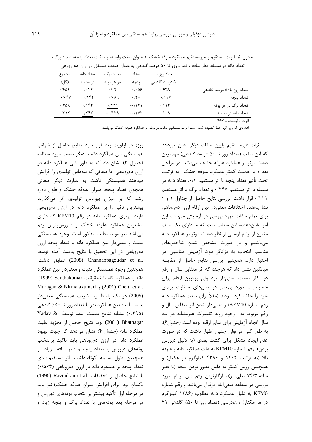|                           | تعداد روز تا         | تعداد                  | تعداد برگ               | تعداد دانه                        | مجموع                            |
|---------------------------|----------------------|------------------------|-------------------------|-----------------------------------|----------------------------------|
|                           | ۵۰ درصد گلدهی        | ينجه                   | در هر بوته              | در سنبله                          | (کل)                             |
| تعداد روز تا۵۰ درصد گلدهی | ۰/۶۲۸                | $-\cdot/\cdot\Delta$ ۶ | $\cdot/\cdot$ ۴         | $.$ $\cdot$ $\uparrow$ $\uparrow$ | .7808                            |
| تعداد ينجه                | $-\cdot/11V$         | $\cdot/\tau \cdot$     | $-\cdot/\cdot \wedge q$ | $-1187$                           | $- \cdot / \cdot \mathfrak{F} V$ |
| تعداد برگ در هر بوته      | .7119                | $-1151$                | .771                    | .78                               | $\cdot$ /۳۵۸                     |
| تعداد دانه در سنبله       | $\cdot/\cdot \wedge$ | $-11YY$                | $-117\Lambda$           | .754                              | $\cdot$ /۳۱۲                     |
| اثرات باقیمانده = ۶۶۷+    |                      |                        |                         |                                   |                                  |

جدول ۵- اثرات مستقیم و غیرمستقیم عملکرد علوفه خشک به عنوان صفت وابسته و صفات تعداد پنجه، تعداد برگ، تعداد دانه در سنبله، قطر ساقه و تعداد روز تا ۵۰ درصد گلدهی به عنوان صفات مستقل در ارزن دم روباهی

اعدادی که زیر آنها خط کشیده شده است اثرات مستقیم صفت مربوطه بر عملکرد علوفه خشک می باشد.

روز) در اولویت بعد قرار دارد. نتایج حاصل از ضرائب همبستگی بین عملکرد دانه با دیگر صفات مورد مطالعه (جدول ۳) نشان داد که به طور کلی عملکرد دانه در ارزن دمروباهی با صفاتی که بیوماس تولیدی را افزایش میدهند همبستگی داشت به عبارت دیگر صفاتی همچون تعداد پنجه، میزان علوفه خشک و طول دوره رشد که بر میزان بیوماس تولیدی اثر میگذارند بیشترین تاثیر را بر عملکرد دانه در ارزن دمروباهی دارند. برتری عملکرد دانه در رقم KFM10 که دارای بیشترین عملکرد علوفه خشک و دیررس ترین رقم می باشد نیز موید مطلب مذکور است. وجود همبستگی مثبت و معنىدار بين عملكرد دانه با تعداد پنجه ارزن دمروباهی در این تحقیق با نتایج بدست آمده توسط .channappagoudar et al تطابق داشت. Channappagoudar et al همچنین وجود همبستگی مثبت و معنیدار بین عملکرد دانه با عملكرد كاه با تحقيقات Santhakumar (1999)، Murugan & Nirmalakumari , (2001) Chetti et al. (2005) در یک راستا بود. ضریب همبستگی معنیدار بدست آمده بین عملکرد بذر با تعداد روز تا ۵۰٪ گلدهی (۰/۳۹۵) مشابه نتایج بدست آمده توسط Yadav & (2001) 2001) بود. نتايج حاصل از تجزيه عليت عملکرد دانه (جدول ۴) نشان میدهد که جهت بهبود عملکرد دانه در ارزن دمروباهی باید تاکید برانتخاب بوتههای دیررس با تعداد پنجه و قطر ساقه زیاد و همچنین طول سنبله کوتاه داشت. اثر مستقیم بالای تعداد پنجه بر عملکرد دانه در ارزن دمروباهی (۰/۵۶۴) با نتايج حاصل از تحقيقات .Ravindran et al (1996) یکسان بود. برای افزایش میزان علوفه خشک) نیز باید در مرحله اول تأكيد بيشتر بر انتخاب بوتههاي ديررس و در مرحله بعد بوتههای با تعداد برگ و پنجه زیاد و

اثرات غیرمستقیم پایین صفات دیگر نشان میدهد که این صفت (تعداد روز تا ۵۰ درصد گلدهی) مهمترین صفت موثر بر عملکرد علوفه خشک میباشد. در مراحل بعد و با اهمیت کمتر عملکرد علوفه خشک به ترتیب تحت تأثير تعداد ينجه با اثر مستقيم ٠/٣، تعداد دانه در سنبله با اثر مستقیم ۰/۲۴۷ و تعداد برگ با اثر مستقیم ٠/٢٢١ قرار داشت. بررسي نتايج حاصل از جداول ١ و ٢ نشان دهنده اختلافات معنىدار بين ارقام ارزن دمروباهي برای تمام صفات مورد بررسی در آزمایش میباشد این امر نشان دهنده این مطلب است که ما دارای یک طیف متنوع از ارقام ارسالی از نظر صفات موثر بر عملکرد دانه می باشیم و در صورت مشخص شدن شاخصهای مناسب انتخاب به نژادگر مواد آزمایش مناسبی در اختیار دارد. همچنین بررسی نتایج حاصل از مقایسه میانگین نشان داد که هرچند که اثر متقابل سال و رقم در اکثر صفات معنیدار بود ولی بهترین ارقام برای خصوصیات مورد بررسی در سالهای متفاوت برتری خود را حفظ کرده بودند (مثلاً برای صفت عملکرد دانه رقم شماره KFM10) و معنىدار شدن اثر متقابل سال و رقم مربوط به وجود روند تغییرات غیرمشابه در سه سال انجام آزمایش برای سایر ارقام بوده است (جدول۶). به طور کلی می توان چنین اظهار داشت که در صورت عدم ایجاد مشکل برای کشت بعدی (به دلیل دیررس بودن)، رقم شماره KFM10 به علت عملكرد دانه و علوفه بالا (به ترتیب ۱۴۶۲ و ۴۳۸۶ کیلوگرم در هکتار) و همچنین ورس کمتر به دلیل قطور بودن ساقه (با قطر ساقه ۷۴/۳ میلی متر) سازگارترین رقم بین ارقام مورد بررسی در منطقه صفیآباد دزفول میباشد و رقم شماره KFM6 به دلیل عملکرد دانه مطلوب (۱۲۸۶ کیلوگرم در هر هکتار) و زودرسی (تعداد روز تا ۵۰٪ گلدهی ۴۱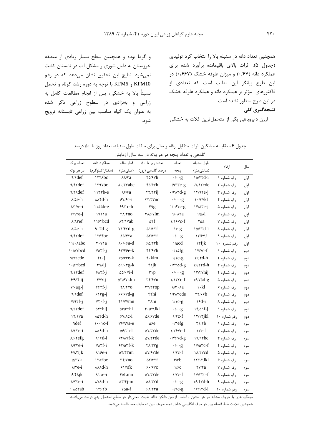و گرما بوده و همچنین سطح بسیار زیادی از منطقه خوزستان به دلیل شوری و مشکل آب در تابستان کشت نمیشود. نتایج این تحقیق نشان میدهد که دو رقم KFM10 و KFM6 با توجه به دوره رشد کوتاه و تحمل نسبتاً بالا به خشكى، پس از انجام مطالعات كامل به زراعی و بهنژادی در سطوح زراعی ذکر شده به عنوان یک گیاه مناسب بین زراعی تابستانه ترویج شود. همچنین تعداد دانه در سنبله بالا را انتخاب کرد تولیدی (جدول ۵). اثرات بالای باقیمانده برآورد شده برای عملکرد دانه (۰/۶۷) و میزان علوفه خشک (۰/۶۶۷) در این طرح بیانگر این مطلب است که تعدادی از فاکتورهای مؤثر بر عملکرد دانه و عملکرد علوفه خشک در این طرح منظور نشده است. نتیجهگیری کلی ارزن دمروباهی یکی از متحملترین غلات به خشکی

| جدول ۶– مقایسه میانگین اثرات متقابل ارقام و سال برای صفات طول سنبله، تعداد روز تا ۵۰ درصد |  |
|-------------------------------------------------------------------------------------------|--|
|-------------------------------------------------------------------------------------------|--|

| گلدهی و تعداد پنجه در هر بوته در سه سال ازمایش |                                 |                                            |                                    |                                  |                        |              |      |  |  |  |
|------------------------------------------------|---------------------------------|--------------------------------------------|------------------------------------|----------------------------------|------------------------|--------------|------|--|--|--|
| تعداد برگ                                      | عملكرد دانه                     | قطر ساقه                                   | تعداد روز تا ۵۰                    | تعداد                            | طول سنبله              |              |      |  |  |  |
| در هر بوته                                     | (هكتار/كيلوگرم)                 | (میلی متر)                                 | درصد گلدهی (روز)                   | ينجه                             | (سانتىمتر)             | ارقام        | سال  |  |  |  |
| $\gamma \Delta f$                              | <b>ITFAbc</b>                   | $\lambda\lambda/\tau a$                    | ۴۵/۶۷h                             | $\cdot/\cdot \cdot g$            | $\Delta$ $\gamma$ rd-i | رقم شماره ۱  | اول  |  |  |  |
| <b>NYYdef</b>                                  | <b>ITAVbc</b>                   | $\lambda \cdot$ /۳۳abc                     | ۴۵/۶۷h                             | $\cdot$ /9 $\tau\tau$ c-g        | IV/9rcde               | رقم شماره ٢  | اول  |  |  |  |
| <b>A/YAdef</b>                                 | $1155 - e$                      | $\lambda$ ۶/۶ $a$                          | 57/7711                            | $\cdot$ /۳۸۳d-g                  | $1f/1Te-i$             | رقم شماره ٣  | اول  |  |  |  |
| $\lambda/\Delta e$ -h                          | <b>AAFd-h</b>                   | $9Y/6C-1$                                  | $\tau\tau/\tau\tau$ no             | $\cdot/\cdot\cdot$ g             | $\cdot$ /۳۷kl          | رقم شماره ۴  | اول  |  |  |  |
| $\lambda$ / Ye-i                               | $1100 - e$                      | $89/1c-h$                                  | ۴۹g                                | $1/68$ YC-g                      | $Y/ATE-I$              | رقم شماره ۵  | اول  |  |  |  |
| $V/97e-1$                                      | 1911a                           | $\frac{1}{2}$                              | $\frac{r}{\sqrt{2}}$               | 9/0.14                           | $1/\Delta\lambda$      | رقم شماره ۶  | اول  |  |  |  |
| $\lambda/\lambda$ ref                          | 118fbcd                         | $\lambda \mathbf{v}/\lambda \mathbf{v}$ ab | ۵۲f                                | $1/1$ ۶۷c-f                      | ۲۵a                    | رقم شماره ۷  | اول  |  |  |  |
| $\lambda/\Delta e$ -h                          | $9 - rd - g$                    | $Y\Upsilon\$                               | ۵۱/۳۳f                             | $\vee$ c-g                       | $\frac{\delta}{\tau}$  | رقم شماره ۸  | اول  |  |  |  |
| <b>NYYdef</b>                                  | <b>ITSFbc</b>                   | $\lambda \Delta$ /۴۳a                      | $\Delta Y/YYf$                     | $\cdot/\cdot \cdot$ g            | $\Upsilon$             | رقم شماره ۹  | اول  |  |  |  |
| 11/· Aabc                                      | $Y \cdot Y$ a                   | $\lambda \cdot \beta$ a-d                  | 80                                 | $\sqrt{\omega}$ d                | $\forall$ ljk          | رقم شماره ١٠ | اول  |  |  |  |
| $\cdot$ / $\Delta$ $\vee$ $\mathrm{bcd}$       | varf-j                          | $57/56 - k$                                | f(f)/f                             | $\cdot/\Delta f$ g               | $\frac{Y}{Y}$          | رقم شماره ۱  | دوم  |  |  |  |
| <b>A/V۳cde</b>                                 | $rr \cdot j$                    | $80/88e-k$                                 | $\mathfrak{r}$ · klm               | $1/1c-g$                         | ۱۶/۴d-h                | رقم شماره ٢  | دوم  |  |  |  |
| $\cdot$ / $\epsilon$ rbcd                      | <b>FRAIJ</b>                    | $\Delta \mathcal{N} \cdot \mathcal{r}$ g-k | $f$ ik                             | $\cdot$ /۴۲۵d-g                  | $\frac{8}{\pi d}$      | رقم شماره ٣  | دوم  |  |  |  |
| $\gamma \gamma$ def                            | $ext-1$                         | $\Delta\Delta/\cdot$ Yi-1                  | $\mathbf{r} \setminus \mathbf{p}$  | $\cdot/\cdot\cdot$ g             | ۱۳/۴۷hij               | رقم شماره ۴  | دوم  |  |  |  |
| $9/9$ rhij                                     | <b>YYYij</b>                    | <b>sr/&amp;vklm</b>                        | $\mathbf{r} \mathbf{r}/\mathbf{r}$ | $1/1$ ۳۳ $c$ -f                  | $\frac{9}{2}$          | رقم شماره ۵  | دوم  |  |  |  |
| $V/\cdot \Delta g-j$                           | $555f-1$                        | <b>YA/YVO</b>                              | $\tau\tau/\tau\tau$ op             | $\lambda$ /۳ $\cdot$ $\lambda$ a | ١٠kl                   | رقم شماره ۶  | دوم  |  |  |  |
| $\sqrt{det}$                                   | $51$ rg-j                       | $59/9$ Yd-g                                | ۴۴hi                               | <i>NTATcde</i>                   | ۲۲/۰۶b                 | رقم شماره ٧  | دوم  |  |  |  |
| $Y/97f-i$                                      | $YY - f - j$                    | ۴۱/۷۷mn                                    | ۳۸m                                | $1/1c-g$                         | $\delta$               | رقم شماره ۸  | دوم  |  |  |  |
| <b>Arrdef</b>                                  | <b>Arrhij</b>                   | 56/67hi                                    | ۴۰/۶۷Jkl                           | $\cdot/\cdot \cdot g$            | $15/09f-1$             | رقم شماره ۹  | دوم  |  |  |  |
| $\frac{17}{18}$                                | ۸۵۴d-h                          | $Y/\lambda c-i$                            | $\Delta$ ۶/۶ $V$ de                | $\frac{1}{\sqrt{c}}$             | $\frac{17}{17}$        | رقم شماره ١٠ | دوم  |  |  |  |
| ٩def                                           | $\cdots$ \c-f                   | Y <sub>8</sub> /9 Ya-e                     | $\Delta$ ۶e                        | $\cdot$ / $refg$                 | $\frac{1}{\sqrt{b}}$   | رقم شماره ۱  | سوم  |  |  |  |
| $\lambda$ / $\tau$ re- $i$                     | ۸۵۹d-h                          | $\Delta$ ۶/۲h-1                            | <b>AV/TTde</b>                     | $1/79$ YC-f                      | $\vee$ c-f             | رقم شماره ٢  | سوم  |  |  |  |
| <b><i>N/STefg</i></b>                          | $\lambda$ $\delta$ d-i          | $5$ Y/ $\Delta$ Yf- $k$                    | <b>AV/TTde</b>                     | $\cdot$ /۴۶۷d-g                  | $19/9$ rbc             | رقم شماره ٣  | سوم  |  |  |  |
| $\lambda$ / $\tau$ re-i                        | YAYf-i                          | 55/25                                      | $f \lambda / \tau \tau g$          | $\cdot/\cdot$ · g                | $\frac{1}{\sqrt{2}}$   | رقم شماره ۴  | سوم  |  |  |  |
| $9/(\lambda \text{right})$                     | $\lambda$ \ $\epsilon$ -i       | $\Delta f/f\Gamma$ im                      | <b>AV/SVde</b>                     | $\frac{1}{\tau}$                 | <b>INTYCO</b>          | رقم شماره ۵  | سوم  |  |  |  |
| $\Delta$ /۳۷ $k$                               | <b>ITAShc</b>                   | $\tau\tau$ /Yno                            | $\Delta Y/YYf$                     | 8/6                              | ۱۲/۱۳Jkl               | رقم شماره ۶  | سوم  |  |  |  |
| $\lambda$ / $\tau$ e-i                         | $\lambda \lambda \lambda d - h$ | $81/9$ fk                                  | $9.19$ YC                          | 1/FC                             | ۲۷/۲a                  | رقم شماره ٧  | سوم  |  |  |  |
| $5/8$ Ajk                                      | $\lambda \cup e$ -i             | ۴۵Lmn                                      | <b>sv/rrde</b>                     | $\frac{1}{\tau}$                 | $V/TTC-f$              | رقم شماره ۸  | سوم  |  |  |  |
| $\lambda$ / $\tau$ e-i                         | ۸۷۸d-h                          | $\Delta r/fj-m$                            | $\Delta\lambda/\tau$ rd            | $\cdot/\cdot \cdot g$            | $\frac{9}{4}$          | رقم شماره ۹  | سوم  |  |  |  |
| $11/2$ rab                                     | ۱۲۶۲h                           | ∨∆a-f                                      | $5\lambda$                         | $.19c - 9$                       | $\frac{1}{2}$          | نقمشمان ١٠   | 0.01 |  |  |  |

میانگینهای با حروف مشابه در هر ستون براساس آزمون دانکن فاقد تفاوت معنیدار در سطح احتمال پنج درصد میباشند. همچنین علامت خط فاصله بین دو حرف انگلیسی شامل تمام حروف بین دو طرف خط فاصله میشود.